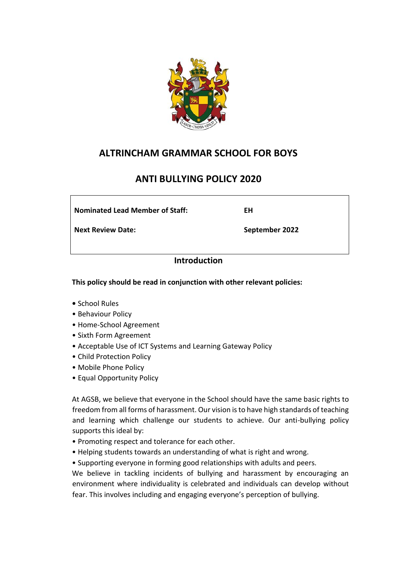

## **ALTRINCHAM GRAMMAR SCHOOL FOR BOYS**

# **ANTI BULLYING POLICY 2020**

**Nominated Lead Member of Staff:** 

**Next Review Date:**

**September 2022**

**EH**

## **Introduction**

**This policy should be read in conjunction with other relevant policies:**

- School Rules
- Behaviour Policy
- Home-School Agreement
- Sixth Form Agreement
- Acceptable Use of ICT Systems and Learning Gateway Policy
- Child Protection Policy
- Mobile Phone Policy
- Equal Opportunity Policy

At AGSB, we believe that everyone in the School should have the same basic rights to freedom from all forms of harassment. Our vision is to have high standards of teaching and learning which challenge our students to achieve. Our anti-bullying policy supports this ideal by:

- Promoting respect and tolerance for each other.
- Helping students towards an understanding of what is right and wrong.
- Supporting everyone in forming good relationships with adults and peers.

We believe in tackling incidents of bullying and harassment by encouraging an environment where individuality is celebrated and individuals can develop without fear. This involves including and engaging everyone's perception of bullying.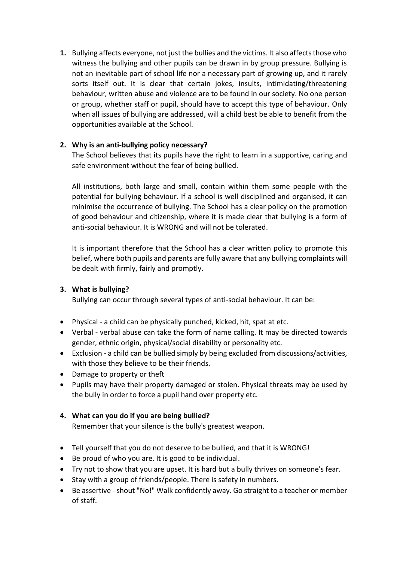**1.** Bullying affects everyone, not just the bullies and the victims. It also affects those who witness the bullying and other pupils can be drawn in by group pressure. Bullying is not an inevitable part of school life nor a necessary part of growing up, and it rarely sorts itself out. It is clear that certain jokes, insults, intimidating/threatening behaviour, written abuse and violence are to be found in our society. No one person or group, whether staff or pupil, should have to accept this type of behaviour. Only when all issues of bullying are addressed, will a child best be able to benefit from the opportunities available at the School.

## **2. Why is an anti-bullying policy necessary?**

The School believes that its pupils have the right to learn in a supportive, caring and safe environment without the fear of being bullied.

All institutions, both large and small, contain within them some people with the potential for bullying behaviour. If a school is well disciplined and organised, it can minimise the occurrence of bullying. The School has a clear policy on the promotion of good behaviour and citizenship, where it is made clear that bullying is a form of anti-social behaviour. It is WRONG and will not be tolerated.

It is important therefore that the School has a clear written policy to promote this belief, where both pupils and parents are fully aware that any bullying complaints will be dealt with firmly, fairly and promptly.

### **3. What is bullying?**

Bullying can occur through several types of anti-social behaviour. It can be:

- Physical a child can be physically punched, kicked, hit, spat at etc.
- Verbal verbal abuse can take the form of name calling. It may be directed towards gender, ethnic origin, physical/social disability or personality etc.
- Exclusion a child can be bullied simply by being excluded from discussions/activities, with those they believe to be their friends.
- Damage to property or theft
- Pupils may have their property damaged or stolen. Physical threats may be used by the bully in order to force a pupil hand over property etc.

### **4. What can you do if you are being bullied?**

Remember that your silence is the bully's greatest weapon.

- Tell yourself that you do not deserve to be bullied, and that it is WRONG!
- Be proud of who you are. It is good to be individual.
- Try not to show that you are upset. It is hard but a bully thrives on someone's fear.
- Stay with a group of friends/people. There is safety in numbers.
- Be assertive shout "No!" Walk confidently away. Go straight to a teacher or member of staff.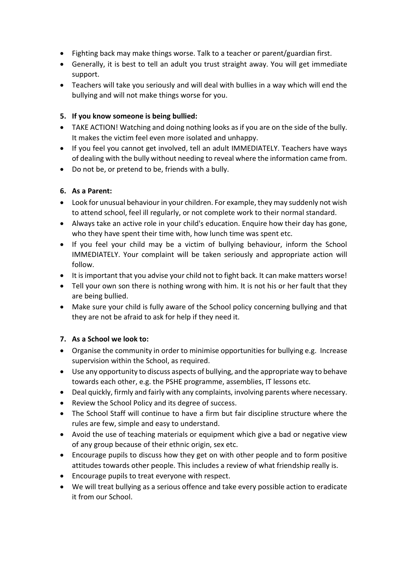- Fighting back may make things worse. Talk to a teacher or parent/guardian first.
- Generally, it is best to tell an adult you trust straight away. You will get immediate support.
- Teachers will take you seriously and will deal with bullies in a way which will end the bullying and will not make things worse for you.

## **5. If you know someone is being bullied:**

- TAKE ACTION! Watching and doing nothing looks as if you are on the side of the bully. It makes the victim feel even more isolated and unhappy.
- If you feel you cannot get involved, tell an adult IMMEDIATELY. Teachers have ways of dealing with the bully without needing to reveal where the information came from.
- Do not be, or pretend to be, friends with a bully.

## **6. As a Parent:**

- Look for unusual behaviour in your children. For example, they may suddenly not wish to attend school, feel ill regularly, or not complete work to their normal standard.
- Always take an active role in your child's education. Enquire how their day has gone, who they have spent their time with, how lunch time was spent etc.
- If you feel your child may be a victim of bullying behaviour, inform the School IMMEDIATELY. Your complaint will be taken seriously and appropriate action will follow.
- It is important that you advise your child not to fight back. It can make matters worse!
- Tell your own son there is nothing wrong with him. It is not his or her fault that they are being bullied.
- Make sure your child is fully aware of the School policy concerning bullying and that they are not be afraid to ask for help if they need it.

### **7. As a School we look to:**

- Organise the community in order to minimise opportunities for bullying e.g. Increase supervision within the School, as required.
- Use any opportunity to discuss aspects of bullying, and the appropriate way to behave towards each other, e.g. the PSHE programme, assemblies, IT lessons etc.
- Deal quickly, firmly and fairly with any complaints, involving parents where necessary.
- Review the School Policy and its degree of success.
- The School Staff will continue to have a firm but fair discipline structure where the rules are few, simple and easy to understand.
- Avoid the use of teaching materials or equipment which give a bad or negative view of any group because of their ethnic origin, sex etc.
- Encourage pupils to discuss how they get on with other people and to form positive attitudes towards other people. This includes a review of what friendship really is.
- Encourage pupils to treat everyone with respect.
- We will treat bullying as a serious offence and take every possible action to eradicate it from our School.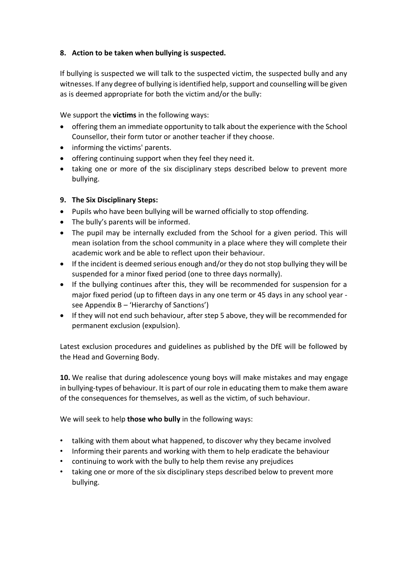## **8. Action to be taken when bullying is suspected.**

If bullying is suspected we will talk to the suspected victim, the suspected bully and any witnesses. If any degree of bullying is identified help, support and counselling will be given as is deemed appropriate for both the victim and/or the bully:

We support the **victims** in the following ways:

- offering them an immediate opportunity to talk about the experience with the School Counsellor, their form tutor or another teacher if they choose.
- informing the victims' parents.
- offering continuing support when they feel they need it.
- taking one or more of the six disciplinary steps described below to prevent more bullying.

### **9. The Six Disciplinary Steps:**

- Pupils who have been bullying will be warned officially to stop offending.
- The bully's parents will be informed.
- The pupil may be internally excluded from the School for a given period. This will mean isolation from the school community in a place where they will complete their academic work and be able to reflect upon their behaviour.
- If the incident is deemed serious enough and/or they do not stop bullying they will be suspended for a minor fixed period (one to three days normally).
- If the bullying continues after this, they will be recommended for suspension for a major fixed period (up to fifteen days in any one term or 45 days in any school year see Appendix B – 'Hierarchy of Sanctions')
- If they will not end such behaviour, after step 5 above, they will be recommended for permanent exclusion (expulsion).

Latest exclusion procedures and guidelines as published by the DfE will be followed by the Head and Governing Body.

**10.** We realise that during adolescence young boys will make mistakes and may engage in bullying-types of behaviour. It is part of our role in educating them to make them aware of the consequences for themselves, as well as the victim, of such behaviour.

We will seek to help **those who bully** in the following ways:

- talking with them about what happened, to discover why they became involved
- Informing their parents and working with them to help eradicate the behaviour
- continuing to work with the bully to help them revise any prejudices
- taking one or more of the six disciplinary steps described below to prevent more bullying.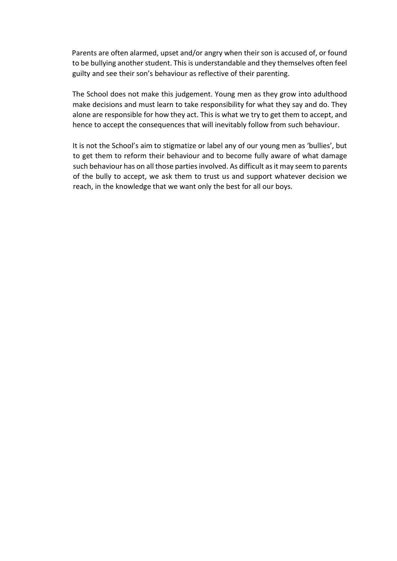Parents are often alarmed, upset and/or angry when their son is accused of, or found to be bullying another student. This is understandable and they themselves often feel guilty and see their son's behaviour as reflective of their parenting.

The School does not make this judgement. Young men as they grow into adulthood make decisions and must learn to take responsibility for what they say and do. They alone are responsible for how they act. This is what we try to get them to accept, and hence to accept the consequences that will inevitably follow from such behaviour.

It is not the School's aim to stigmatize or label any of our young men as 'bullies', but to get them to reform their behaviour and to become fully aware of what damage such behaviour has on all those parties involved. As difficult as it may seem to parents of the bully to accept, we ask them to trust us and support whatever decision we reach, in the knowledge that we want only the best for all our boys.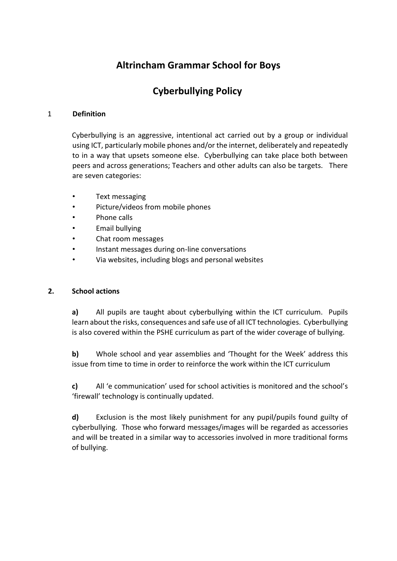# **Altrincham Grammar School for Boys**

# **Cyberbullying Policy**

### 1 **Definition**

Cyberbullying is an aggressive, intentional act carried out by a group or individual using ICT, particularly mobile phones and/or the internet, deliberately and repeatedly to in a way that upsets someone else. Cyberbullying can take place both between peers and across generations; Teachers and other adults can also be targets. There are seven categories:

- Text messaging
- Picture/videos from mobile phones
- Phone calls
- Email bullying
- Chat room messages
- Instant messages during on-line conversations
- Via websites, including blogs and personal websites

### **2. School actions**

**a)** All pupils are taught about cyberbullying within the ICT curriculum. Pupils learn about the risks, consequences and safe use of all ICT technologies. Cyberbullying is also covered within the PSHE curriculum as part of the wider coverage of bullying.

**b)** Whole school and year assemblies and 'Thought for the Week' address this issue from time to time in order to reinforce the work within the ICT curriculum

**c)** All 'e communication' used for school activities is monitored and the school's 'firewall' technology is continually updated.

**d)** Exclusion is the most likely punishment for any pupil/pupils found guilty of cyberbullying. Those who forward messages/images will be regarded as accessories and will be treated in a similar way to accessories involved in more traditional forms of bullying.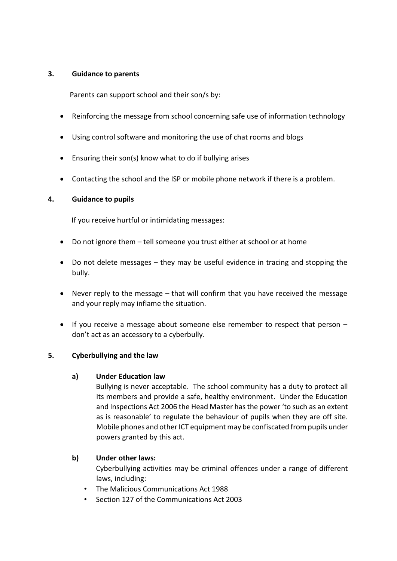### **3. Guidance to parents**

Parents can support school and their son/s by:

- Reinforcing the message from school concerning safe use of information technology
- Using control software and monitoring the use of chat rooms and blogs
- Ensuring their son(s) know what to do if bullying arises
- Contacting the school and the ISP or mobile phone network if there is a problem.

### **4. Guidance to pupils**

If you receive hurtful or intimidating messages:

- Do not ignore them tell someone you trust either at school or at home
- Do not delete messages they may be useful evidence in tracing and stopping the bully.
- Never reply to the message that will confirm that you have received the message and your reply may inflame the situation.
- If you receive a message about someone else remember to respect that person don't act as an accessory to a cyberbully.

### **5. Cyberbullying and the law**

#### **a) Under Education law**

Bullying is never acceptable. The school community has a duty to protect all its members and provide a safe, healthy environment. Under the Education and Inspections Act 2006 the Head Master has the power 'to such as an extent as is reasonable' to regulate the behaviour of pupils when they are off site. Mobile phones and other ICT equipment may be confiscated from pupils under powers granted by this act.

### **b) Under other laws:**

Cyberbullying activities may be criminal offences under a range of different laws, including:

- The Malicious Communications Act 1988
- Section 127 of the Communications Act 2003